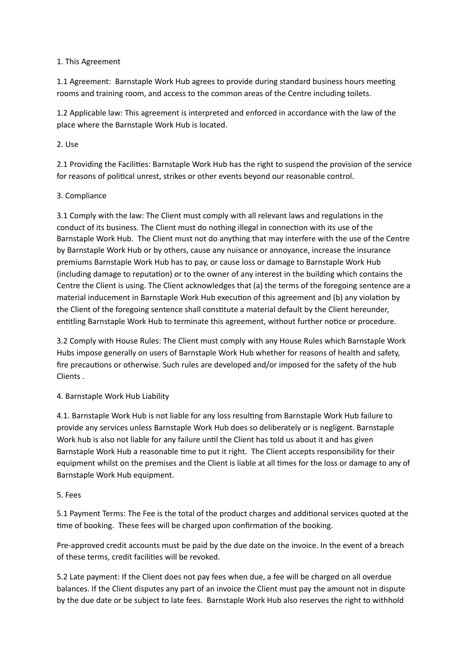### 1. This Agreement

1.1 Agreement: Barnstaple Work Hub agrees to provide during standard business hours meeting rooms and training room, and access to the common areas of the Centre including toilets.

1.2 Applicable law: This agreement is interpreted and enforced in accordance with the law of the place where the Barnstaple Work Hub is located.

# $2$  $llsp$

2.1 Providing the Facilities: Barnstaple Work Hub has the right to suspend the provision of the service for reasons of political unrest, strikes or other events beyond our reasonable control.

# 3. Compliance

3.1 Comply with the law: The Client must comply with all relevant laws and regulations in the conduct of its business. The Client must do nothing illegal in connection with its use of the Barnstaple Work Hub. The Client must not do anything that may interfere with the use of the Centre by Barnstaple Work Hub or by others, cause any nuisance or annoyance, increase the insurance premiums Barnstaple Work Hub has to pay, or cause loss or damage to Barnstaple Work Hub (including damage to reputation) or to the owner of any interest in the building which contains the Centre the Client is using. The Client acknowledges that (a) the terms of the foregoing sentence are a material inducement in Barnstaple Work Hub execution of this agreement and (b) any violation by the Client of the foregoing sentence shall constitute a material default by the Client hereunder, entitling Barnstaple Work Hub to terminate this agreement, without further notice or procedure.

3.2 Comply with House Rules: The Client must comply with any House Rules which Barnstaple Work Hubs impose generally on users of Barnstaple Work Hub whether for reasons of health and safety, fire precautions or otherwise. Such rules are developed and/or imposed for the safety of the hub Clients.

### 4. Barnstaple Work Hub Liability

4.1. Barnstaple Work Hub is not liable for any loss resulting from Barnstaple Work Hub failure to provide any services unless Barnstaple Work Hub does so deliberately or is negligent. Barnstaple Work hub is also not liable for any failure until the Client has told us about it and has given Barnstaple Work Hub a reasonable time to put it right. The Client accepts responsibility for their equipment whilst on the premises and the Client is liable at all times for the loss or damage to any of Barnstaple Work Hub equipment.

### 5. Fees

5.1 Payment Terms: The Fee is the total of the product charges and additional services quoted at the time of booking. These fees will be charged upon confirmation of the booking.

Pre-approved credit accounts must be paid by the due date on the invoice. In the event of a breach of these terms, credit facilities will be revoked.

5.2 Late payment: If the Client does not pay fees when due, a fee will be charged on all overdue balances. If the Client disputes any part of an invoice the Client must pay the amount not in dispute by the due date or be subject to late fees. Barnstaple Work Hub also reserves the right to withhold